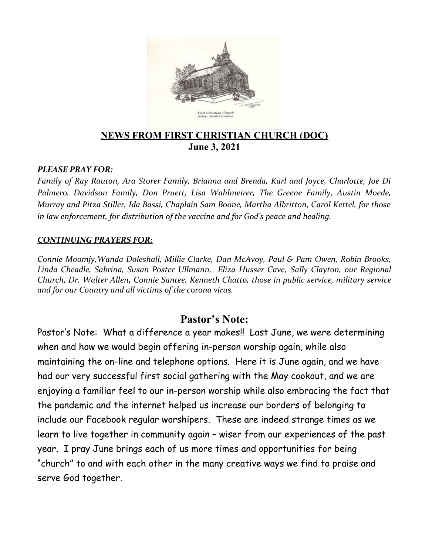

## **NEWS FROM FIRST CHRISTIAN CHURCH (DOC) June 3, 2021**

#### *PLEASE PRAY FOR:*

*Family of Ray Rauton, Ara Storer Family, Brianna and Brenda, Karl and Joyce, Charlotte, Joe Di Palmero, Davidson Family, Don Pruett, Lisa Wahlmeirer, The Greene Family, Austin Moede, Murray and Pitza Stiller, Ida Bassi, Chaplain Sam Boone, Martha Albritton, Carol Kettel, for those in law enforcement, for distribution of the vaccine and for God's peace and healing.*

#### *CONTINUING PRAYERS FOR:*

*Connie Moomjy,Wanda Doleshall, Millie Clarke, Dan McAvoy, Paul & Pam Owen, Robin Brooks, Linda Cheadle, Sabrina, Susan Poster Ullmann, Eliza Husser Cave, Sally Clayton, our Regional Church, Dr. Walter Allen, Connie Santee, Kenneth Chatto, those in public service, military service and for our Country and all victims of the corona virus.* 

## **Pastor's Note:**

Pastor's Note: What a difference a year makes!! Last June, we were determining when and how we would begin offering in-person worship again, while also maintaining the on-line and telephone options. Here it is June again, and we have had our very successful first social gathering with the May cookout, and we are enjoying a familiar feel to our in-person worship while also embracing the fact that the pandemic and the internet helped us increase our borders of belonging to include our Facebook regular worshipers. These are indeed strange times as we learn to live together in community again – wiser from our experiences of the past year. I pray June brings each of us more times and opportunities for being "church" to and with each other in the many creative ways we find to praise and serve God together.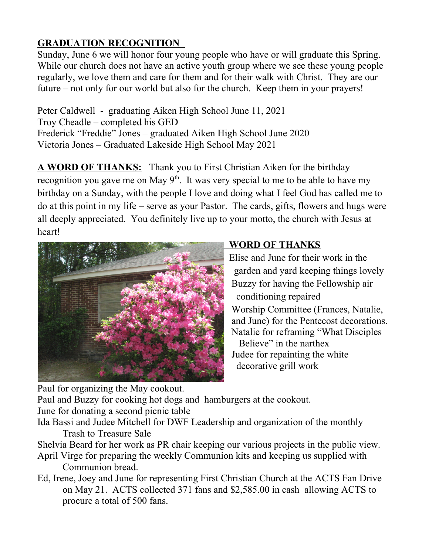## **GRADUATION RECOGNITION**

Sunday, June 6 we will honor four young people who have or will graduate this Spring. While our church does not have an active youth group where we see these young people regularly, we love them and care for them and for their walk with Christ. They are our future – not only for our world but also for the church. Keep them in your prayers!

Peter Caldwell - graduating Aiken High School June 11, 2021 Troy Cheadle – completed his GED Frederick "Freddie" Jones – graduated Aiken High School June 2020 Victoria Jones – Graduated Lakeside High School May 2021

**A WORD OF THANKS:** Thank you to First Christian Aiken for the birthday recognition you gave me on May  $9<sup>th</sup>$ . It was very special to me to be able to have my birthday on a Sunday, with the people I love and doing what I feel God has called me to do at this point in my life – serve as your Pastor. The cards, gifts, flowers and hugs were all deeply appreciated. You definitely live up to your motto, the church with Jesus at heart!



## **WORD OF THANKS**

 Elise and June for their work in the garden and yard keeping things lovely Buzzy for having the Fellowship air conditioning repaired

 Worship Committee (Frances, Natalie, and June) for the Pentecost decorations. Natalie for reframing "What Disciples

 Believe" in the narthex Judee for repainting the white decorative grill work

Paul for organizing the May cookout.

Paul and Buzzy for cooking hot dogs and hamburgers at the cookout.

June for donating a second picnic table

Ida Bassi and Judee Mitchell for DWF Leadership and organization of the monthly Trash to Treasure Sale

Shelvia Beard for her work as PR chair keeping our various projects in the public view.

- April Virge for preparing the weekly Communion kits and keeping us supplied with Communion bread.
- Ed, Irene, Joey and June for representing First Christian Church at the ACTS Fan Drive on May 21. ACTS collected 371 fans and \$2,585.00 in cash allowing ACTS to procure a total of 500 fans.